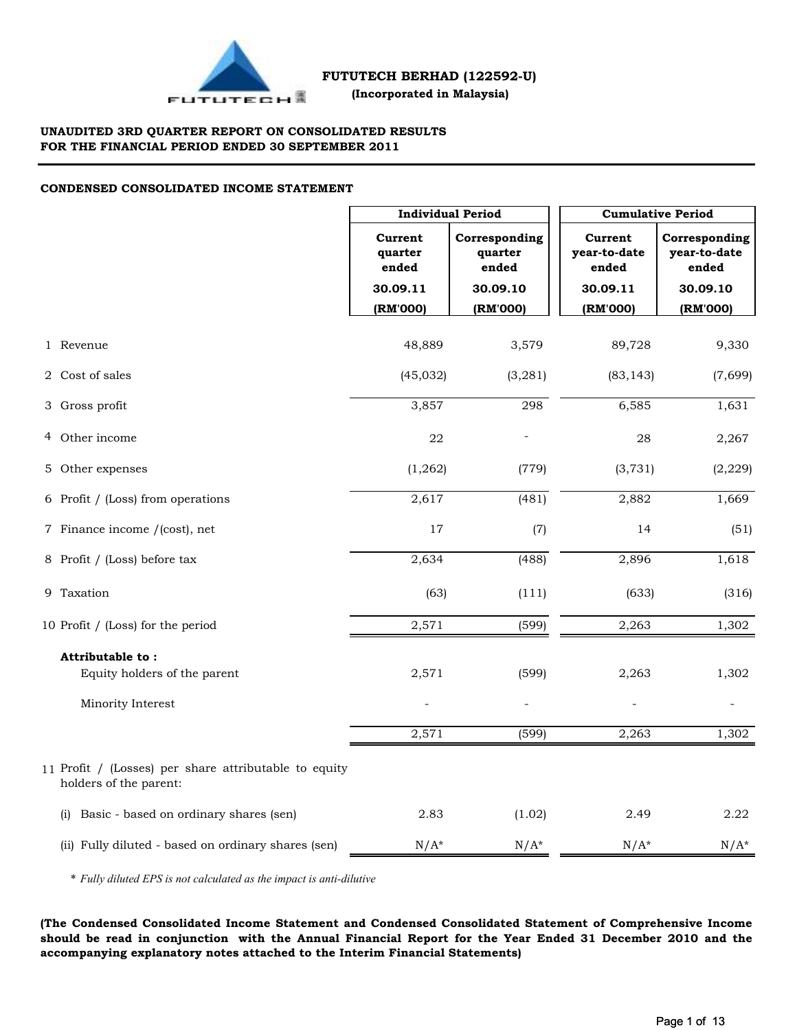

 **(Incorporated in Malaysia)**

## **UNAUDITED 3RD QUARTER REPORT ON CONSOLIDATED RESULTS FOR THE FINANCIAL PERIOD ENDED 30 SEPTEMBER 2011**

## **CONDENSED CONSOLIDATED INCOME STATEMENT**

|                                                                                 |                             | <b>Individual Period</b>          |                                  | <b>Cumulative Period</b>               |  |  |  |
|---------------------------------------------------------------------------------|-----------------------------|-----------------------------------|----------------------------------|----------------------------------------|--|--|--|
|                                                                                 | Current<br>quarter<br>ended | Corresponding<br>quarter<br>ended | Current<br>year-to-date<br>ended | Corresponding<br>year-to-date<br>ended |  |  |  |
|                                                                                 | 30.09.11                    | 30.09.10                          | 30.09.11                         | 30.09.10                               |  |  |  |
|                                                                                 | (RM'000)                    | (RM'000)                          | (RM'000)                         | (RM'000)                               |  |  |  |
| 1 Revenue                                                                       | 48,889                      | 3,579                             | 89,728                           | 9,330                                  |  |  |  |
| 2 Cost of sales                                                                 | (45, 032)                   | (3, 281)                          | (83, 143)                        | (7,699)                                |  |  |  |
| 3 Gross profit                                                                  | 3,857                       | 298                               | 6,585                            | 1,631                                  |  |  |  |
| 4 Other income                                                                  | 22                          |                                   | 28                               | 2,267                                  |  |  |  |
| 5 Other expenses                                                                | (1, 262)                    | (779)                             | (3, 731)                         | (2, 229)                               |  |  |  |
| 6 Profit / (Loss) from operations                                               | 2,617                       | (481)                             | 2,882                            | 1,669                                  |  |  |  |
| 7 Finance income /(cost), net                                                   | $17\,$                      | (7)                               | 14                               | (51)                                   |  |  |  |
| 8 Profit / (Loss) before tax                                                    | 2,634                       | (488)                             | 2,896                            | 1,618                                  |  |  |  |
| 9 Taxation                                                                      | (63)                        | (111)                             | (633)                            | (316)                                  |  |  |  |
| 10 Profit / (Loss) for the period                                               | 2,571                       | (599)                             | 2,263                            | 1,302                                  |  |  |  |
| Attributable to:                                                                |                             |                                   |                                  |                                        |  |  |  |
| Equity holders of the parent                                                    | 2,571                       | (599)                             | 2,263                            | 1,302                                  |  |  |  |
| Minority Interest                                                               |                             |                                   |                                  |                                        |  |  |  |
|                                                                                 | 2,571                       | (599)                             | 2,263                            | 1,302                                  |  |  |  |
| 11 Profit / (Losses) per share attributable to equity<br>holders of the parent: |                             |                                   |                                  |                                        |  |  |  |
| Basic - based on ordinary shares (sen)<br>(i)                                   | 2.83                        | (1.02)                            | 2.49                             | 2.22                                   |  |  |  |
| (ii) Fully diluted - based on ordinary shares (sen)                             | $N/A^*$                     | $N/A^*$                           | $N/A^*$                          | $N/A^*$                                |  |  |  |

\* *Fully diluted EPS is not calculated as the impact is anti-dilutive*

**(The Condensed Consolidated Income Statement and Condensed Consolidated Statement of Comprehensive Income should be read in conjunction with the Annual Financial Report for the Year Ended 31 December 2010 and the accompanying explanatory notes attached to the Interim Financial Statements)**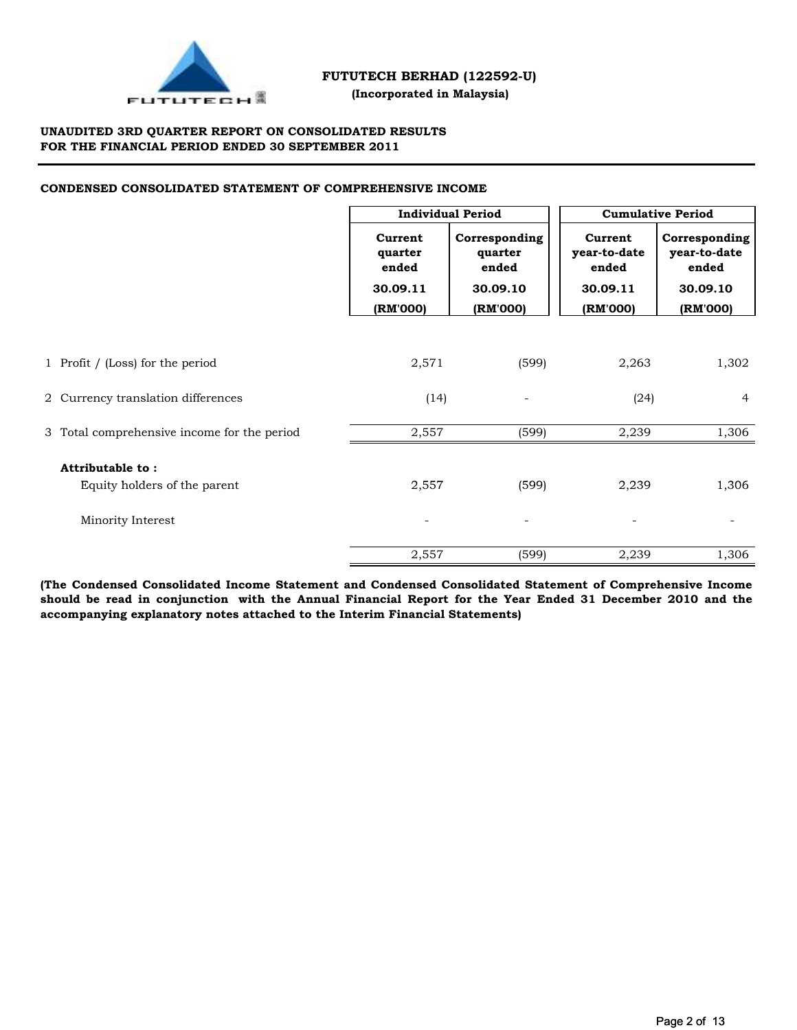

## **(Incorporated in Malaysia)**

## **UNAUDITED 3RD QUARTER REPORT ON CONSOLIDATED RESULTS FOR THE FINANCIAL PERIOD ENDED 30 SEPTEMBER 2011**

## **CONDENSED CONSOLIDATED STATEMENT OF COMPREHENSIVE INCOME**

|                                                  | <b>Individual Period</b>                |                                               | <b>Cumulative Period</b>                     |                                                    |  |
|--------------------------------------------------|-----------------------------------------|-----------------------------------------------|----------------------------------------------|----------------------------------------------------|--|
|                                                  | Current<br>quarter<br>ended<br>30.09.11 | Corresponding<br>quarter<br>ended<br>30.09.10 | Current<br>year-to-date<br>ended<br>30.09.11 | Corresponding<br>year-to-date<br>ended<br>30.09.10 |  |
|                                                  | (RM'000)                                | (RM'000)                                      | (RM'000)                                     | (RM'000)                                           |  |
|                                                  |                                         |                                               |                                              |                                                    |  |
| 1 Profit / (Loss) for the period                 | 2,571                                   | (599)                                         | 2,263                                        | 1,302                                              |  |
| 2 Currency translation differences               | (14)                                    | $\overline{\phantom{a}}$                      | (24)                                         | $\overline{4}$                                     |  |
| 3 Total comprehensive income for the period      | 2,557                                   | (599)                                         | 2,239                                        | 1,306                                              |  |
| Attributable to:<br>Equity holders of the parent | 2,557                                   | (599)                                         | 2,239                                        | 1,306                                              |  |
| Minority Interest                                |                                         | $\overline{\phantom{a}}$                      |                                              |                                                    |  |
|                                                  | 2,557                                   | (599)                                         | 2,239                                        | 1,306                                              |  |

**(The Condensed Consolidated Income Statement and Condensed Consolidated Statement of Comprehensive Income should be read in conjunction with the Annual Financial Report for the Year Ended 31 December 2010 and the accompanying explanatory notes attached to the Interim Financial Statements)**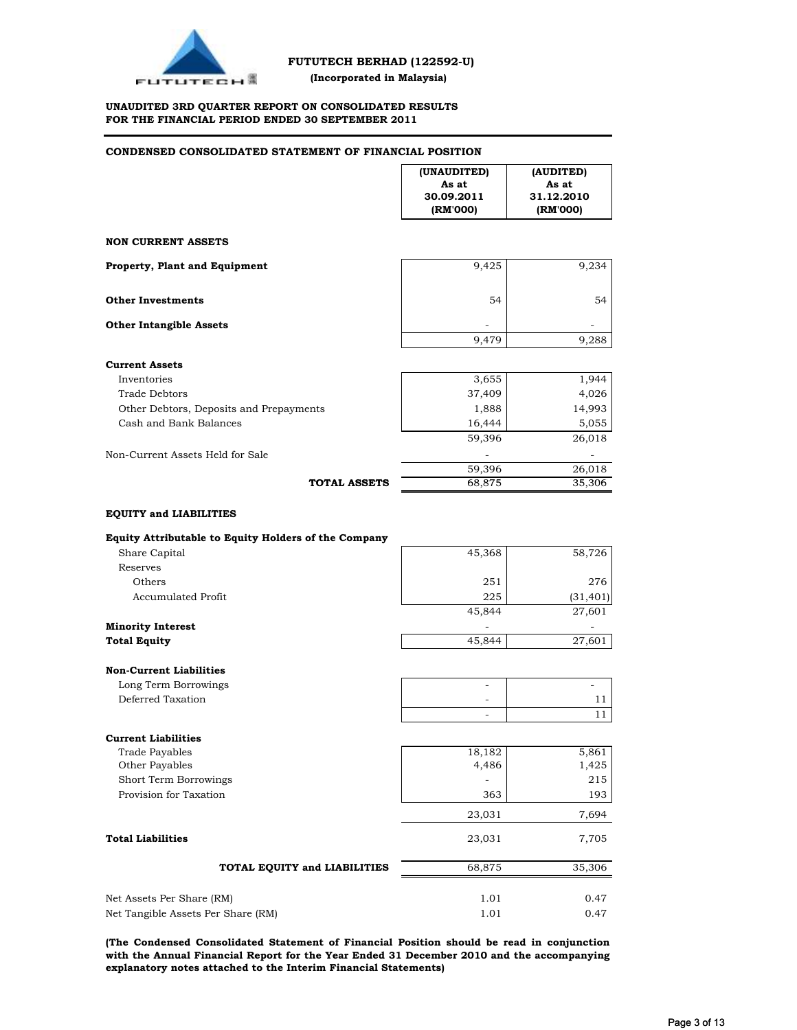

### **UNAUDITED 3RD QUARTER REPORT ON CONSOLIDATED RESULTS FOR THE FINANCIAL PERIOD ENDED 30 SEPTEMBER 2011**

| CONDENSED CONSOLIDATED STATEMENT OF FINANCIAL POSITION                |                                                |                                              |  |  |
|-----------------------------------------------------------------------|------------------------------------------------|----------------------------------------------|--|--|
|                                                                       | (UNAUDITED)<br>As at<br>30.09.2011<br>(RM'000) | (AUDITED)<br>As at<br>31.12.2010<br>(RM'000) |  |  |
| <b>NON CURRENT ASSETS</b>                                             |                                                |                                              |  |  |
|                                                                       |                                                |                                              |  |  |
| Property, Plant and Equipment                                         | 9,425                                          | 9,234                                        |  |  |
| <b>Other Investments</b>                                              | 54                                             | 54                                           |  |  |
| <b>Other Intangible Assets</b>                                        |                                                |                                              |  |  |
|                                                                       | 9,479                                          | 9,288                                        |  |  |
| <b>Current Assets</b>                                                 |                                                |                                              |  |  |
| Inventories                                                           | 3,655                                          | 1,944                                        |  |  |
| Trade Debtors                                                         | 37,409                                         | 4,026                                        |  |  |
| Other Debtors, Deposits and Prepayments                               | 1,888                                          | 14,993                                       |  |  |
| Cash and Bank Balances                                                | 16,444                                         | 5,055                                        |  |  |
|                                                                       | 59,396                                         | 26,018                                       |  |  |
| Non-Current Assets Held for Sale                                      |                                                |                                              |  |  |
|                                                                       | 59,396                                         | 26,018                                       |  |  |
| <b>TOTAL ASSETS</b>                                                   | 68,875                                         | 35,306                                       |  |  |
| Equity Attributable to Equity Holders of the Company<br>Share Capital | 45,368                                         | 58,726                                       |  |  |
| Reserves                                                              |                                                |                                              |  |  |
| Others                                                                | 251                                            | 276                                          |  |  |
| <b>Accumulated Profit</b>                                             | 225<br>45,844                                  | (31, 401)<br>27,601                          |  |  |
| <b>Minority Interest</b>                                              |                                                |                                              |  |  |
| <b>Total Equity</b>                                                   | 45,844                                         | 27,601                                       |  |  |
| <b>Non-Current Liabilities</b>                                        |                                                |                                              |  |  |
| Long Term Borrowings                                                  |                                                |                                              |  |  |
| Deferred Taxation                                                     |                                                | 11                                           |  |  |
|                                                                       | ÷,                                             | 11                                           |  |  |
| <b>Current Liabilities</b>                                            |                                                |                                              |  |  |
| <b>Trade Payables</b>                                                 | 18,182                                         | 5,861                                        |  |  |
| Other Payables                                                        | 4,486                                          | 1,425                                        |  |  |
| Short Term Borrowings                                                 |                                                | 215                                          |  |  |
| Provision for Taxation                                                | 363                                            | 193                                          |  |  |
|                                                                       | 23,031                                         | 7,694                                        |  |  |
| <b>Total Liabilities</b>                                              | 23,031                                         | 7,705                                        |  |  |
| TOTAL EQUITY and LIABILITIES                                          | 68,875                                         | 35,306                                       |  |  |
|                                                                       |                                                |                                              |  |  |
| Net Assets Per Share (RM)<br>Net Tangible Assets Per Share (RM)       | 1.01<br>1.01                                   | 0.47<br>0.47                                 |  |  |
|                                                                       |                                                |                                              |  |  |

**(The Condensed Consolidated Statement of Financial Position should be read in conjunction with the Annual Financial Report for the Year Ended 31 December 2010 and the accompanying explanatory notes attached to the Interim Financial Statements)**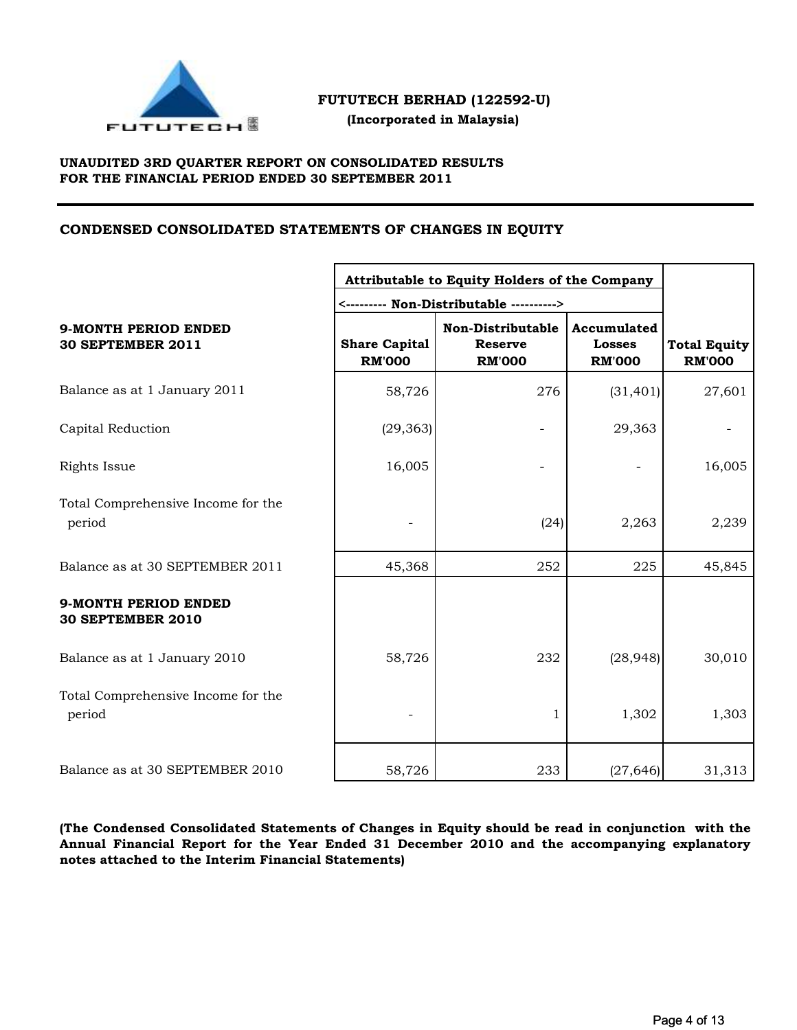

 **(Incorporated in Malaysia)**

## **UNAUDITED 3RD QUARTER REPORT ON CONSOLIDATED RESULTS FOR THE FINANCIAL PERIOD ENDED 30 SEPTEMBER 2011**

## **CONDENSED CONSOLIDATED STATEMENTS OF CHANGES IN EQUITY**

|                                                         | Attributable to Equity Holders of the Company |                                                      |                                               |                                      |
|---------------------------------------------------------|-----------------------------------------------|------------------------------------------------------|-----------------------------------------------|--------------------------------------|
|                                                         |                                               |                                                      |                                               |                                      |
| <b>9-MONTH PERIOD ENDED</b><br><b>30 SEPTEMBER 2011</b> | <b>Share Capital</b><br><b>RM'000</b>         | Non-Distributable<br><b>Reserve</b><br><b>RM'000</b> | Accumulated<br><b>Losses</b><br><b>RM'000</b> | <b>Total Equity</b><br><b>RM'000</b> |
| Balance as at 1 January 2011                            | 58,726                                        | 276                                                  | (31, 401)                                     | 27,601                               |
| Capital Reduction                                       | (29, 363)                                     |                                                      | 29,363                                        |                                      |
| Rights Issue                                            | 16,005                                        |                                                      |                                               | 16,005                               |
| Total Comprehensive Income for the<br>period            |                                               | (24)                                                 | 2,263                                         | 2,239                                |
| Balance as at 30 SEPTEMBER 2011                         | 45,368                                        | 252                                                  | 225                                           | 45,845                               |
| 9-MONTH PERIOD ENDED<br><b>30 SEPTEMBER 2010</b>        |                                               |                                                      |                                               |                                      |
| Balance as at 1 January 2010                            | 58,726                                        | 232                                                  | (28, 948)                                     | 30,010                               |
| Total Comprehensive Income for the<br>period            |                                               | 1                                                    | 1,302                                         | 1,303                                |
| Balance as at 30 SEPTEMBER 2010                         | 58,726                                        | 233                                                  | (27, 646)                                     | 31,313                               |

**(The Condensed Consolidated Statements of Changes in Equity should be read in conjunction with the Annual Financial Report for the Year Ended 31 December 2010 and the accompanying explanatory notes attached to the Interim Financial Statements)**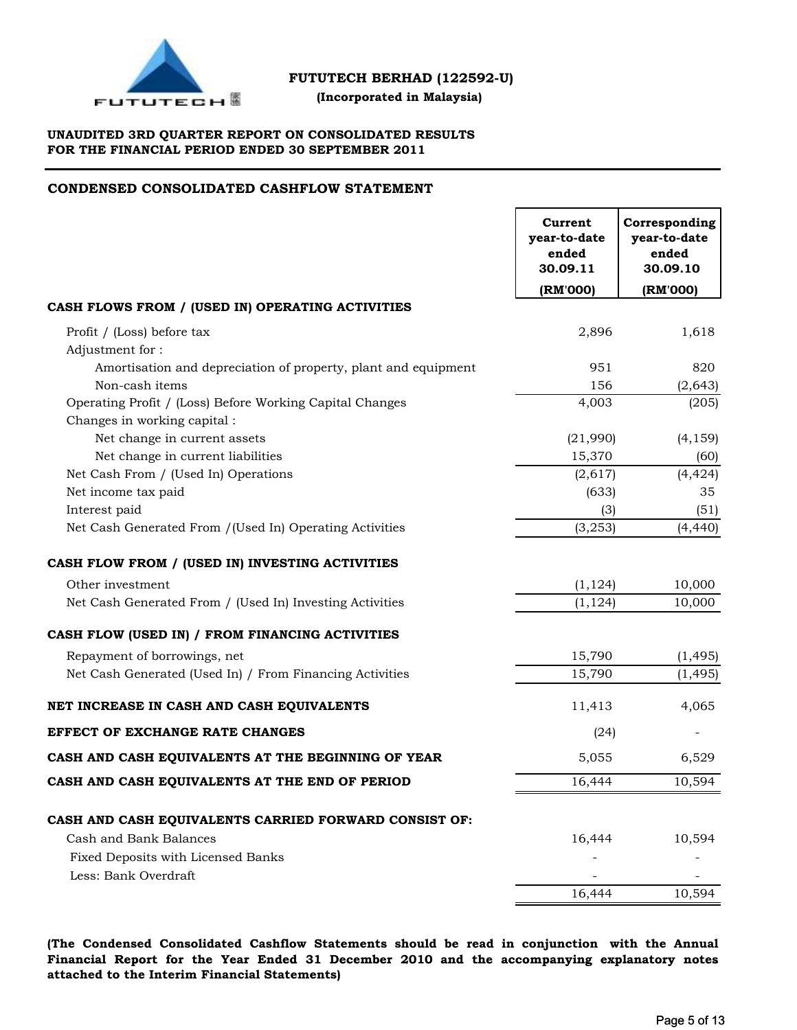

 **(Incorporated in Malaysia)**

## **UNAUDITED 3RD QUARTER REPORT ON CONSOLIDATED RESULTS FOR THE FINANCIAL PERIOD ENDED 30 SEPTEMBER 2011**

## **CONDENSED CONSOLIDATED CASHFLOW STATEMENT**

|                                                                | Current<br>year-to-date<br>ended<br>30.09.11 | Corresponding<br>year-to-date<br>ended<br>30.09.10 |
|----------------------------------------------------------------|----------------------------------------------|----------------------------------------------------|
|                                                                | (RM'000)                                     | (RM'000)                                           |
| CASH FLOWS FROM / (USED IN) OPERATING ACTIVITIES               |                                              |                                                    |
| Profit / (Loss) before tax                                     | 2,896                                        | 1,618                                              |
| Adjustment for:                                                |                                              |                                                    |
| Amortisation and depreciation of property, plant and equipment | 951                                          | 820                                                |
| Non-cash items                                                 | 156                                          | (2, 643)                                           |
| Operating Profit / (Loss) Before Working Capital Changes       | 4,003                                        | (205)                                              |
| Changes in working capital :                                   |                                              |                                                    |
| Net change in current assets                                   | (21,990)                                     | (4, 159)                                           |
| Net change in current liabilities                              | 15,370                                       | (60)                                               |
| Net Cash From / (Used In) Operations                           | (2,617)                                      | (4, 424)                                           |
| Net income tax paid                                            | (633)                                        | 35                                                 |
| Interest paid                                                  | (3)                                          | (51)                                               |
| Net Cash Generated From /(Used In) Operating Activities        | (3, 253)                                     | (4, 440)                                           |
| CASH FLOW FROM / (USED IN) INVESTING ACTIVITIES                |                                              |                                                    |
| Other investment                                               | (1, 124)                                     | 10,000                                             |
| Net Cash Generated From / (Used In) Investing Activities       | (1, 124)                                     | 10,000                                             |
| CASH FLOW (USED IN) / FROM FINANCING ACTIVITIES                |                                              |                                                    |
| Repayment of borrowings, net                                   | 15,790                                       | (1, 495)                                           |
| Net Cash Generated (Used In) / From Financing Activities       | 15,790                                       | (1, 495)                                           |
| NET INCREASE IN CASH AND CASH EQUIVALENTS                      | 11,413                                       | 4,065                                              |
| EFFECT OF EXCHANGE RATE CHANGES                                | (24)                                         |                                                    |
| CASH AND CASH EQUIVALENTS AT THE BEGINNING OF YEAR             | 5,055                                        | 6,529                                              |
| CASH AND CASH EQUIVALENTS AT THE END OF PERIOD                 | 16,444                                       | 10,594                                             |
| CASH AND CASH EQUIVALENTS CARRIED FORWARD CONSIST OF:          |                                              |                                                    |
| Cash and Bank Balances                                         | 16,444                                       | 10,594                                             |
| Fixed Deposits with Licensed Banks                             |                                              |                                                    |
| Less: Bank Overdraft                                           |                                              |                                                    |
|                                                                | 16,444                                       | 10,594                                             |
|                                                                |                                              |                                                    |

**(The Condensed Consolidated Cashflow Statements should be read in conjunction with the Annual Financial Report for the Year Ended 31 December 2010 and the accompanying explanatory notes attached to the Interim Financial Statements)**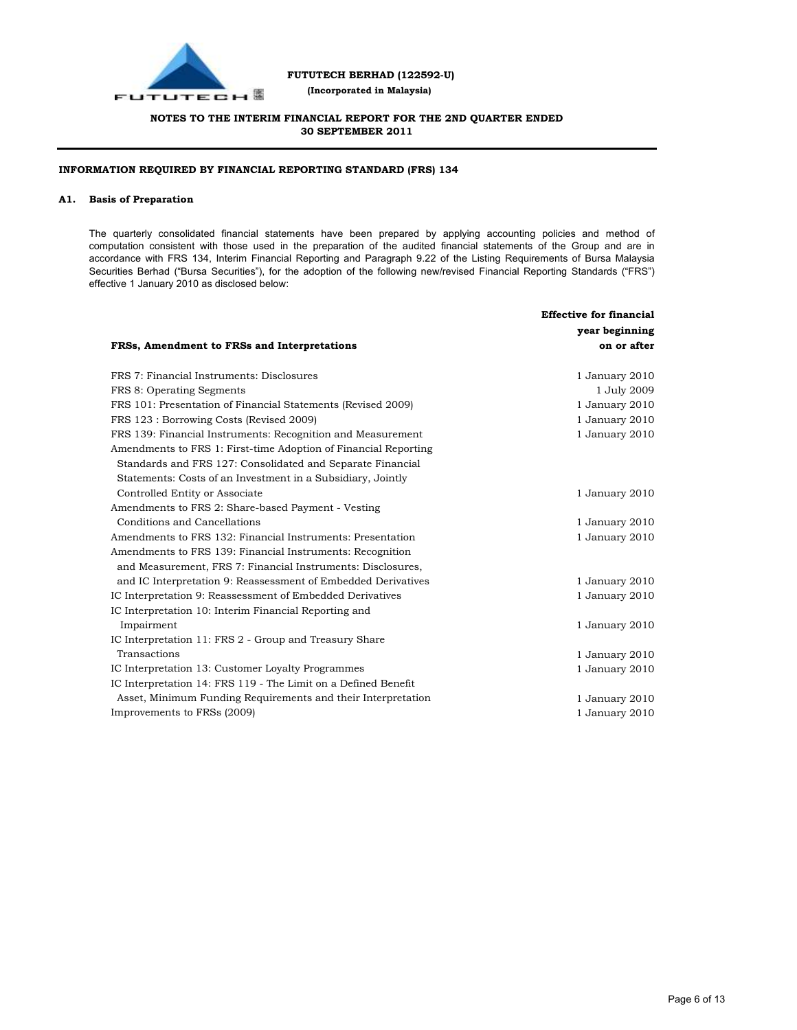

## **FUTUTECH BERHAD (122592-U) (Incorporated in Malaysia)**

## **NOTES TO THE INTERIM FINANCIAL REPORT FOR THE 2ND QUARTER ENDED 30 SEPTEMBER 2011**

### **INFORMATION REQUIRED BY FINANCIAL REPORTING STANDARD (FRS) 134**

#### **A1. Basis of Preparation**

The quarterly consolidated financial statements have been prepared by applying accounting policies and method of computation consistent with those used in the preparation of the audited financial statements of the Group and are in accordance with FRS 134, Interim Financial Reporting and Paragraph 9.22 of the Listing Requirements of Bursa Malaysia Securities Berhad ("Bursa Securities"), for the adoption of the following new/revised Financial Reporting Standards ("FRS") effective 1 January 2010 as disclosed below:

| FRSs, Amendment to FRSs and Interpretations                     | <b>Effective for financial</b><br>year beginning<br>on or after |
|-----------------------------------------------------------------|-----------------------------------------------------------------|
| FRS 7: Financial Instruments: Disclosures                       | 1 January 2010                                                  |
| FRS 8: Operating Segments                                       | 1 July 2009                                                     |
| FRS 101: Presentation of Financial Statements (Revised 2009)    | 1 January 2010                                                  |
| FRS 123 : Borrowing Costs (Revised 2009)                        | 1 January 2010                                                  |
| FRS 139: Financial Instruments: Recognition and Measurement     | 1 January 2010                                                  |
| Amendments to FRS 1: First-time Adoption of Financial Reporting |                                                                 |
| Standards and FRS 127: Consolidated and Separate Financial      |                                                                 |
| Statements: Costs of an Investment in a Subsidiary, Jointly     |                                                                 |
| Controlled Entity or Associate                                  | 1 January 2010                                                  |
| Amendments to FRS 2: Share-based Payment - Vesting              |                                                                 |
| Conditions and Cancellations                                    | 1 January 2010                                                  |
| Amendments to FRS 132: Financial Instruments: Presentation      | 1 January 2010                                                  |
| Amendments to FRS 139: Financial Instruments: Recognition       |                                                                 |
| and Measurement, FRS 7: Financial Instruments: Disclosures,     |                                                                 |
| and IC Interpretation 9: Reassessment of Embedded Derivatives   | 1 January 2010                                                  |
| IC Interpretation 9: Reassessment of Embedded Derivatives       | 1 January 2010                                                  |
| IC Interpretation 10: Interim Financial Reporting and           |                                                                 |
| Impairment                                                      | 1 January 2010                                                  |
| IC Interpretation 11: FRS 2 - Group and Treasury Share          |                                                                 |
| Transactions                                                    | 1 January 2010                                                  |
| IC Interpretation 13: Customer Loyalty Programmes               | 1 January 2010                                                  |
| IC Interpretation 14: FRS 119 - The Limit on a Defined Benefit  |                                                                 |
| Asset, Minimum Funding Requirements and their Interpretation    | 1 January 2010                                                  |
| Improvements to FRSs (2009)                                     | 1 January 2010                                                  |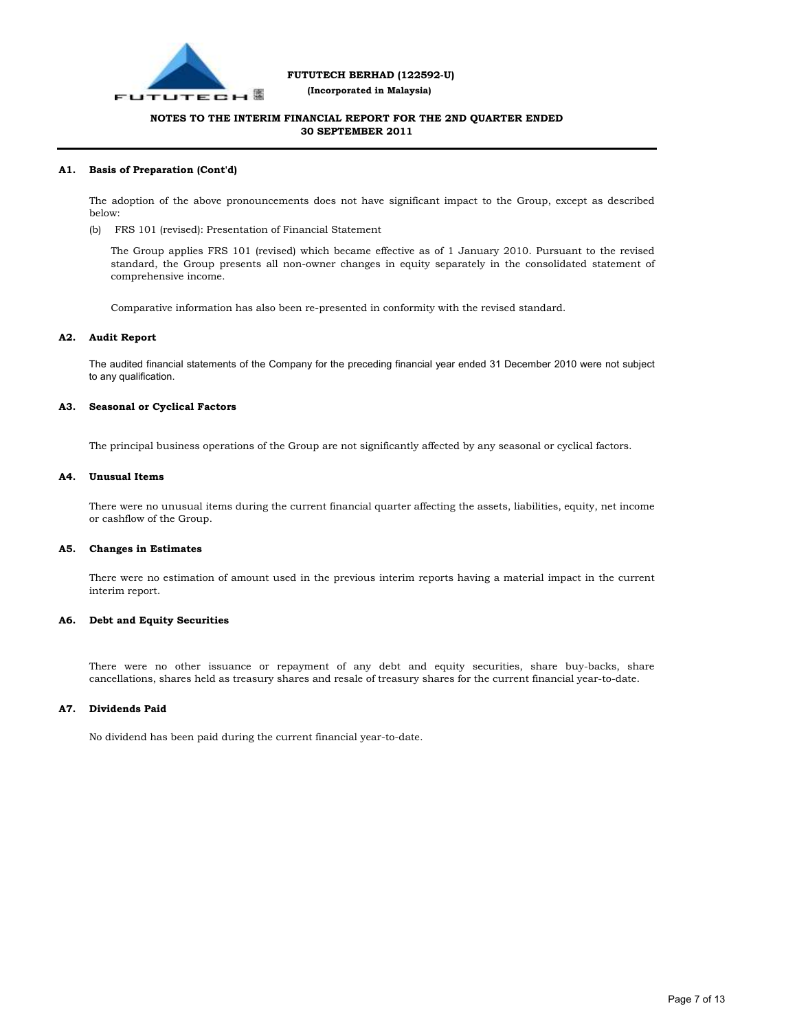

 **(Incorporated in Malaysia)**

## **NOTES TO THE INTERIM FINANCIAL REPORT FOR THE 2ND QUARTER ENDED 30 SEPTEMBER 2011**

#### **A1. Basis of Preparation (Cont'd)**

The adoption of the above pronouncements does not have significant impact to the Group, except as described below:

(b) FRS 101 (revised): Presentation of Financial Statement

The Group applies FRS 101 (revised) which became effective as of 1 January 2010. Pursuant to the revised standard, the Group presents all non-owner changes in equity separately in the consolidated statement of comprehensive income.

Comparative information has also been re-presented in conformity with the revised standard.

#### **A2. Audit Report**

The audited financial statements of the Company for the preceding financial year ended 31 December 2010 were not subject to any qualification.

#### **A3. Seasonal or Cyclical Factors**

The principal business operations of the Group are not significantly affected by any seasonal or cyclical factors.

#### **A4. Unusual Items**

There were no unusual items during the current financial quarter affecting the assets, liabilities, equity, net income or cashflow of the Group.

#### **A5. Changes in Estimates**

There were no estimation of amount used in the previous interim reports having a material impact in the current interim report.

#### **A6. Debt and Equity Securities**

There were no other issuance or repayment of any debt and equity securities, share buy-backs, share cancellations, shares held as treasury shares and resale of treasury shares for the current financial year-to-date.

#### **A7. Dividends Paid**

No dividend has been paid during the current financial year-to-date.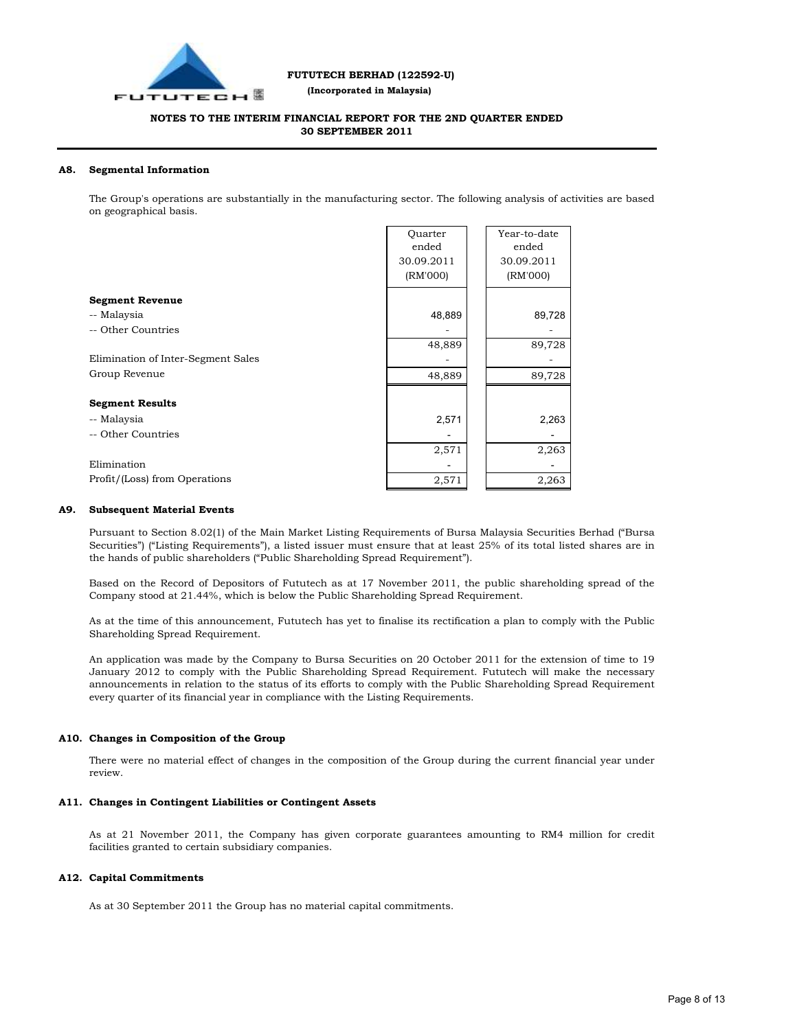

 **(Incorporated in Malaysia)**

## **NOTES TO THE INTERIM FINANCIAL REPORT FOR THE 2ND QUARTER ENDED 30 SEPTEMBER 2011**

#### **A8. Segmental Information**

The Group's operations are substantially in the manufacturing sector. The following analysis of activities are based on geographical basis.

|                                    | Ouarter<br>ended | Year-to-date<br>ended |
|------------------------------------|------------------|-----------------------|
|                                    | 30.09.2011       | 30.09.2011            |
|                                    | (RM'000)         | (RM'000)              |
| <b>Segment Revenue</b>             |                  |                       |
| -- Malaysia                        | 48,889           | 89,728                |
| -- Other Countries                 |                  |                       |
|                                    | 48,889           | 89,728                |
| Elimination of Inter-Segment Sales |                  |                       |
| Group Revenue                      | 48,889           | 89,728                |
|                                    |                  |                       |
| <b>Segment Results</b>             |                  |                       |
| -- Malaysia                        | 2,571            | 2,263                 |
| -- Other Countries                 |                  |                       |
|                                    | 2,571            | 2,263                 |
| Elimination                        |                  |                       |
| Profit/(Loss) from Operations      | 2,571            | 2,263                 |

#### **A9. Subsequent Material Events**

Pursuant to Section 8.02(1) of the Main Market Listing Requirements of Bursa Malaysia Securities Berhad ("Bursa Securities") ("Listing Requirements"), a listed issuer must ensure that at least 25% of its total listed shares are in the hands of public shareholders ("Public Shareholding Spread Requirement").

Based on the Record of Depositors of Fututech as at 17 November 2011, the public shareholding spread of the Company stood at 21.44%, which is below the Public Shareholding Spread Requirement.

As at the time of this announcement, Fututech has yet to finalise its rectification a plan to comply with the Public Shareholding Spread Requirement.

An application was made by the Company to Bursa Securities on 20 October 2011 for the extension of time to 19 January 2012 to comply with the Public Shareholding Spread Requirement. Fututech will make the necessary announcements in relation to the status of its efforts to comply with the Public Shareholding Spread Requirement every quarter of its financial year in compliance with the Listing Requirements.

#### **A10. Changes in Composition of the Group**

There were no material effect of changes in the composition of the Group during the current financial year under review.

#### **A11. Changes in Contingent Liabilities or Contingent Assets**

As at 21 November 2011, the Company has given corporate guarantees amounting to RM4 million for credit facilities granted to certain subsidiary companies.

#### **A12. Capital Commitments**

As at 30 September 2011 the Group has no material capital commitments.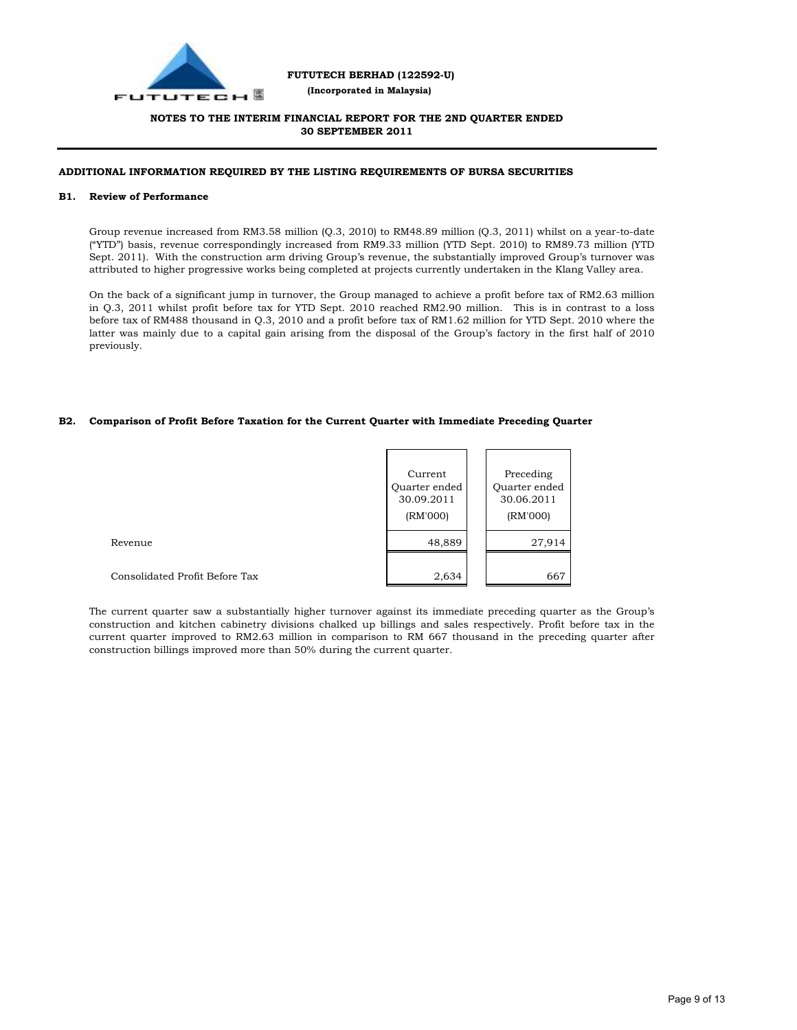

### **FUTUTECH BERHAD (122592-U) (Incorporated in Malaysia)**

## **NOTES TO THE INTERIM FINANCIAL REPORT FOR THE 2ND QUARTER ENDED 30 SEPTEMBER 2011**

### **ADDITIONAL INFORMATION REQUIRED BY THE LISTING REQUIREMENTS OF BURSA SECURITIES**

#### **B1. Review of Performance**

Group revenue increased from RM3.58 million (Q.3, 2010) to RM48.89 million (Q.3, 2011) whilst on a year-to-date ("YTD") basis, revenue correspondingly increased from RM9.33 million (YTD Sept. 2010) to RM89.73 million (YTD Sept. 2011). With the construction arm driving Group's revenue, the substantially improved Group's turnover was attributed to higher progressive works being completed at projects currently undertaken in the Klang Valley area.

On the back of a significant jump in turnover, the Group managed to achieve a profit before tax of RM2.63 million in Q.3, 2011 whilst profit before tax for YTD Sept. 2010 reached RM2.90 million. This is in contrast to a loss before tax of RM488 thousand in Q.3, 2010 and a profit before tax of RM1.62 million for YTD Sept. 2010 where the latter was mainly due to a capital gain arising from the disposal of the Group's factory in the first half of 2010 previously.

#### **B2. Comparison of Profit Before Taxation for the Current Quarter with Immediate Preceding Quarter**

|                                | Current<br>Quarter ended<br>30.09.2011<br>(RM'000) | Preceding<br>Quarter ended<br>30.06.2011<br>(RM'000) |
|--------------------------------|----------------------------------------------------|------------------------------------------------------|
| Revenue                        | 48,889                                             | 27,914                                               |
| Consolidated Profit Before Tax | 2,634                                              | 667                                                  |

The current quarter saw a substantially higher turnover against its immediate preceding quarter as the Group's construction and kitchen cabinetry divisions chalked up billings and sales respectively. Profit before tax in the current quarter improved to RM2.63 million in comparison to RM 667 thousand in the preceding quarter after construction billings improved more than 50% during the current quarter.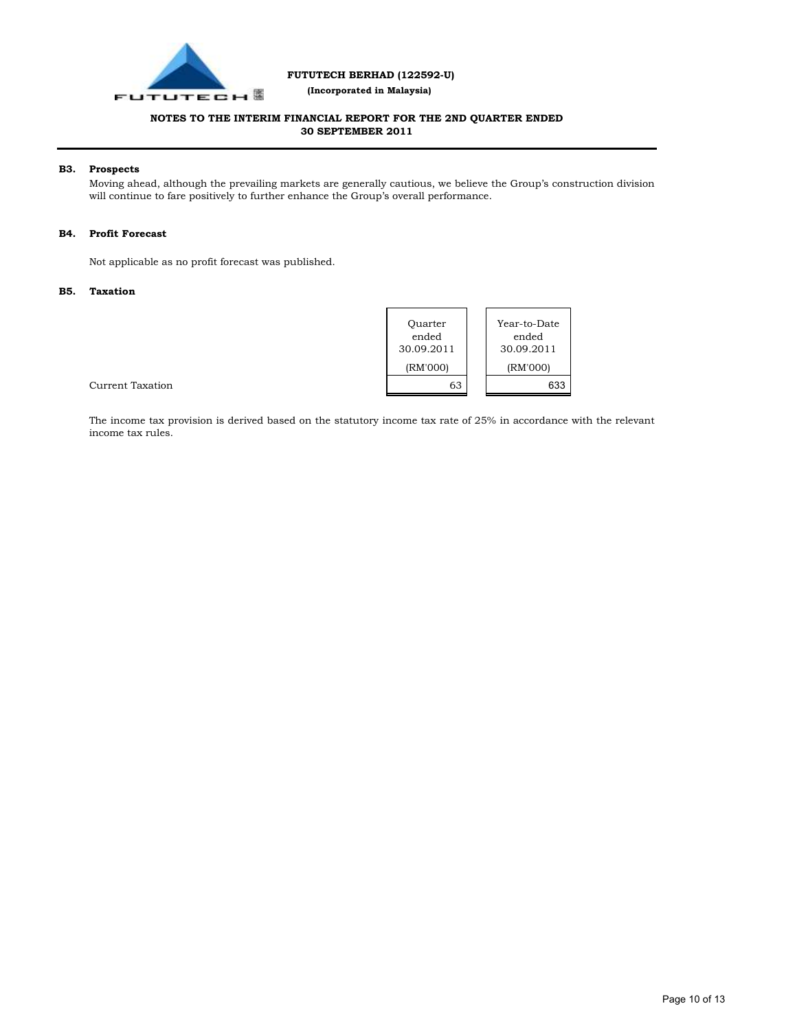

 **(Incorporated in Malaysia)**

## **NOTES TO THE INTERIM FINANCIAL REPORT FOR THE 2ND QUARTER ENDED 30 SEPTEMBER 2011**

#### **B3. Prospects**

Moving ahead, although the prevailing markets are generally cautious, we believe the Group's construction division will continue to fare positively to further enhance the Group's overall performance.

#### **B4. Profit Forecast**

Not applicable as no profit forecast was published.

#### **B5. Taxation**



Current Taxation

The income tax provision is derived based on the statutory income tax rate of 25% in accordance with the relevant income tax rules.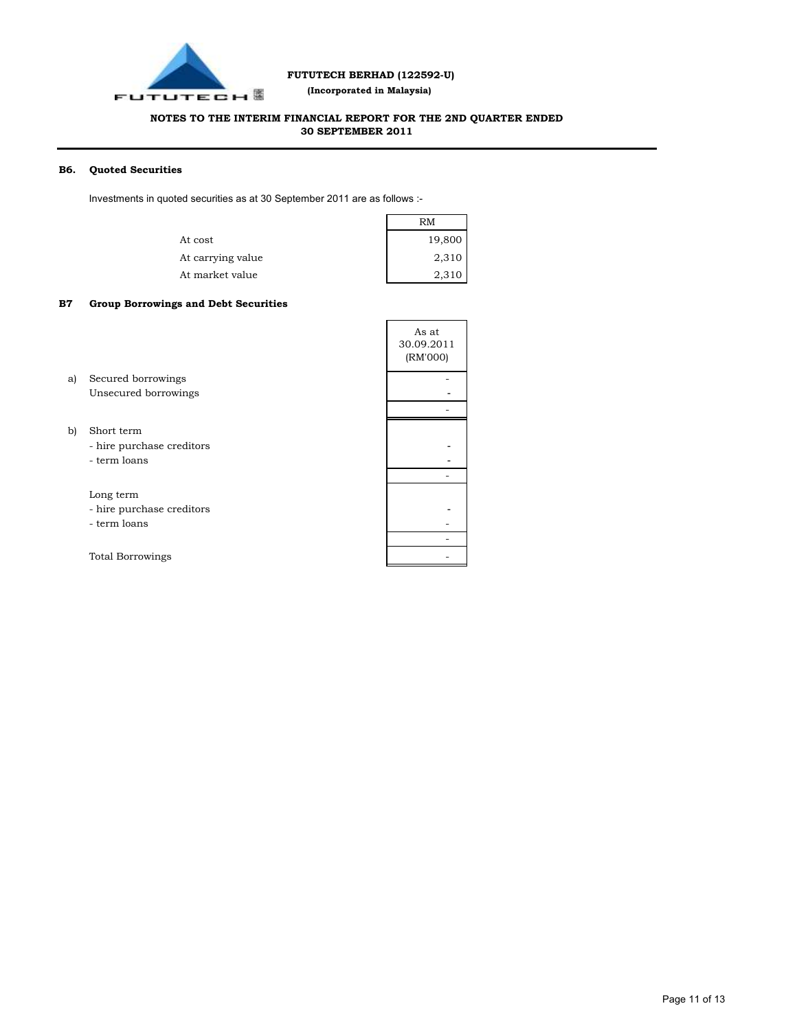

 **(Incorporated in Malaysia)**

## **NOTES TO THE INTERIM FINANCIAL REPORT FOR THE 2ND QUARTER ENDED 30 SEPTEMBER 2011**

#### **B6. Quoted Securities**

Investments in quoted securities as at 30 September 2011 are as follows :-

|                   | RM     |
|-------------------|--------|
| At cost           | 19,800 |
| At carrying value | 2,310  |
| At market value   | 2,310  |

#### **B7 Group Borrowings and Debt Securities**

|    |                           | As at<br>30.09.2011<br>(RM'000) |
|----|---------------------------|---------------------------------|
| a) | Secured borrowings        |                                 |
|    | Unsecured borrowings      |                                 |
|    |                           |                                 |
| b) | Short term                |                                 |
|    | - hire purchase creditors |                                 |
|    | - term loans              |                                 |
|    |                           |                                 |
|    | Long term                 |                                 |
|    | - hire purchase creditors |                                 |
|    | - term loans              |                                 |
|    |                           |                                 |
|    | <b>Total Borrowings</b>   |                                 |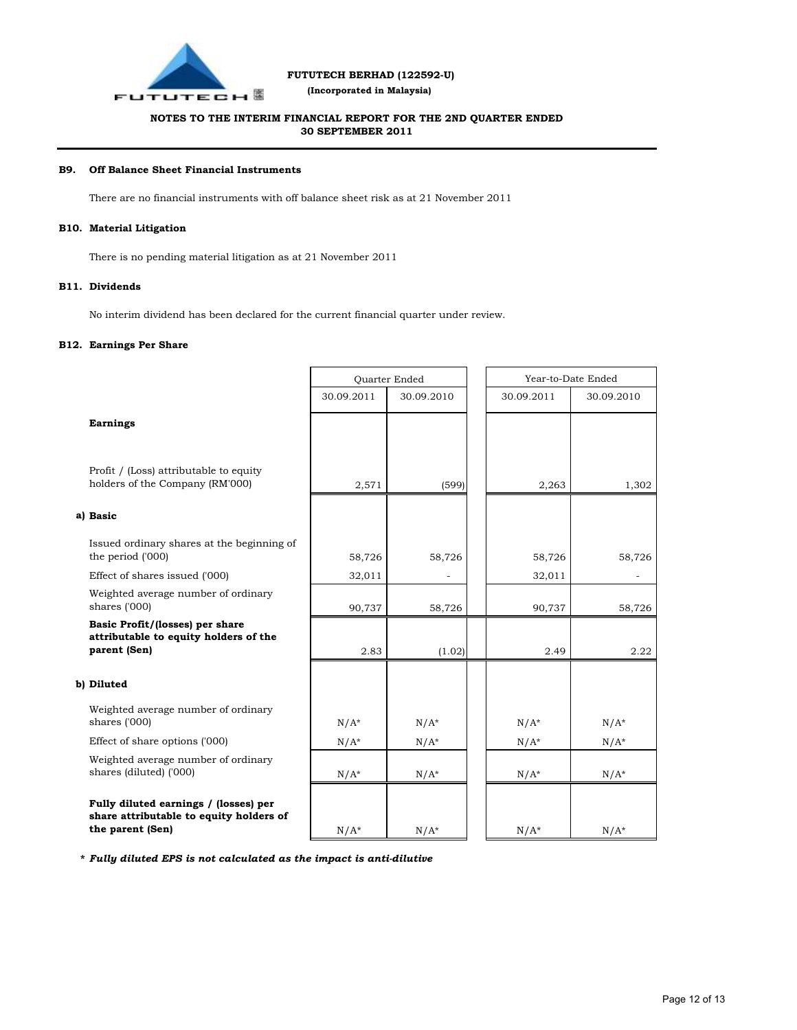

 **(Incorporated in Malaysia)**

## **NOTES TO THE INTERIM FINANCIAL REPORT FOR THE 2ND QUARTER ENDED 30 SEPTEMBER 2011**

#### **B9. Off Balance Sheet Financial Instruments**

There are no financial instruments with off balance sheet risk as at 21 November 2011

#### **B10. Material Litigation**

There is no pending material litigation as at 21 November 2011

#### **B11. Dividends**

No interim dividend has been declared for the current financial quarter under review.

#### **B12. Earnings Per Share**

|                                                                                                      | Quarter Ended |            | Year-to-Date Ended |            |  |
|------------------------------------------------------------------------------------------------------|---------------|------------|--------------------|------------|--|
|                                                                                                      | 30.09.2011    | 30.09.2010 | 30.09.2011         | 30.09.2010 |  |
| <b>Earnings</b>                                                                                      |               |            |                    |            |  |
| Profit / (Loss) attributable to equity<br>holders of the Company (RM'000)                            | 2,571         | (599)      | 2,263              | 1,302      |  |
| a) Basic                                                                                             |               |            |                    |            |  |
| Issued ordinary shares at the beginning of<br>the period ('000)                                      | 58,726        | 58,726     | 58,726             | 58,726     |  |
| Effect of shares issued ('000)                                                                       | 32,011        |            | 32,011             |            |  |
| Weighted average number of ordinary<br>shares ('000)                                                 | 90,737        | 58,726     | 90,737             | 58,726     |  |
| Basic Profit/(losses) per share<br>attributable to equity holders of the<br>parent (Sen)             | 2.83          | (1.02)     | 2.49               | 2.22       |  |
| b) Diluted                                                                                           |               |            |                    |            |  |
| Weighted average number of ordinary<br>shares ('000)                                                 | $N/A^*$       | $N/A^*$    | $N/A^*$            | $N/A^*$    |  |
| Effect of share options ('000)                                                                       | $N/A^*$       | $N/A^*$    | $N/A^*$            | $N/A^*$    |  |
| Weighted average number of ordinary<br>shares (diluted) ('000)                                       | $N/A^*$       | $N/A^*$    | $N/A^*$            | $N/A^*$    |  |
| Fully diluted earnings / (losses) per<br>share attributable to equity holders of<br>the parent (Sen) | $N/A^*$       | $N/A^*$    | $N/A^*$            | $N/A^*$    |  |

**\*** *Fully diluted EPS is not calculated as the impact is anti-dilutive*